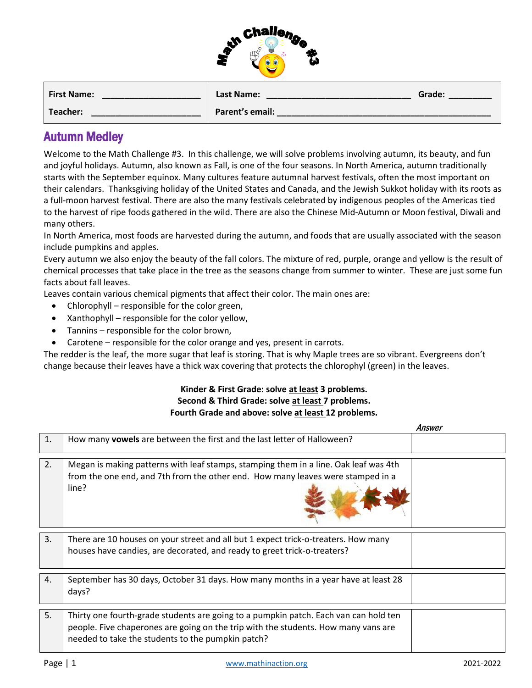

| <b>First Name:</b> | Last Name:      | Grade: |
|--------------------|-----------------|--------|
| Teacher:           | Parent's email: |        |

## Autumn Medley

Welcome to the Math Challenge #3. In this challenge, we will solve problems involving autumn, its beauty, and fun and joyful holidays. Autumn, also known as Fall, is one of the four seasons. In [North America,](about:blank) autumn traditionally starts with the [September equinox.](about:blank) Many cultures feature autumnal [harvest festivals,](about:blank) often the most important on their calendars. [Thanksgiving](about:blank) holiday of the United States and Canada, and the Jewish [Sukkot](about:blank) holiday with its roots as a full-moon harvest festival. There are also the many festivals celebrated by [indigenous peoples of the Americas](about:blank) tied to the harvest of ripe foods gathered in the wild. There are also the Chinese Mid-Autumn or [Moon festival,](about:blank) Diwali and many others.

In North America, most foods are harvested during the autumn, and foods that are usually associated with the season include [pumpkins](about:blank) and [apples.](about:blank)

Every autumn we also enjoy the beauty of the fall colors. The mixture of red, purple, orange and yellow is the result of chemical processes that take place in the tree as the seasons change from summer to winter. These are just some fun facts about fall leaves.

Leaves contain various chemical pigments that affect their color. The main ones are:

- Chlorophyll responsible for the color green,
- Xanthophyll responsible for the color yellow,
- Tannins responsible for the color brown,
- Carotene responsible for the color orange and yes, present in carrots.

The redder is the leaf, the more sugar that leaf is storing. That is why Maple trees are so vibrant. Evergreens don't change because their leaves have a thick wax covering that protects the chlorophyl (green) in the leaves.

## **Kinder & First Grade: solve at least 3 problems. Second & Third Grade: solve at least 7 problems. Fourth Grade and above: solve at least 12 problems.**

|    |                                                                                                                                                                                                                                 | HIISWEI |
|----|---------------------------------------------------------------------------------------------------------------------------------------------------------------------------------------------------------------------------------|---------|
| 1. | How many vowels are between the first and the last letter of Halloween?                                                                                                                                                         |         |
|    |                                                                                                                                                                                                                                 |         |
| 2. | Megan is making patterns with leaf stamps, stamping them in a line. Oak leaf was 4th<br>from the one end, and 7th from the other end. How many leaves were stamped in a<br>line?                                                |         |
|    |                                                                                                                                                                                                                                 |         |
| 3. | There are 10 houses on your street and all but 1 expect trick-o-treaters. How many<br>houses have candies, are decorated, and ready to greet trick-o-treaters?                                                                  |         |
|    |                                                                                                                                                                                                                                 |         |
| 4. | September has 30 days, October 31 days. How many months in a year have at least 28<br>days?                                                                                                                                     |         |
|    |                                                                                                                                                                                                                                 |         |
| 5. | Thirty one fourth-grade students are going to a pumpkin patch. Each van can hold ten<br>people. Five chaperones are going on the trip with the students. How many vans are<br>needed to take the students to the pumpkin patch? |         |

Answer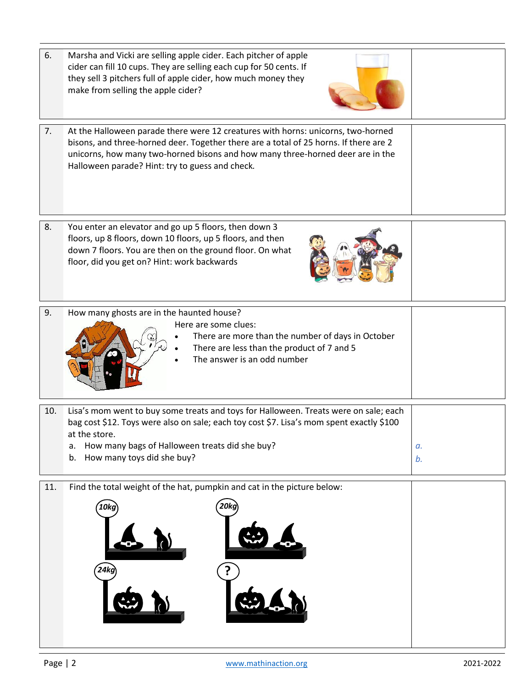|     | cider can fill 10 cups. They are selling each cup for 50 cents. If<br>they sell 3 pitchers full of apple cider, how much money they<br>make from selling the apple cider?                                                                                                                                      |          |
|-----|----------------------------------------------------------------------------------------------------------------------------------------------------------------------------------------------------------------------------------------------------------------------------------------------------------------|----------|
| 7.  | At the Halloween parade there were 12 creatures with horns: unicorns, two-horned<br>bisons, and three-horned deer. Together there are a total of 25 horns. If there are 2<br>unicorns, how many two-horned bisons and how many three-horned deer are in the<br>Halloween parade? Hint: try to guess and check. |          |
| 8.  | You enter an elevator and go up 5 floors, then down 3<br>floors, up 8 floors, down 10 floors, up 5 floors, and then<br>down 7 floors. You are then on the ground floor. On what<br>floor, did you get on? Hint: work backwards                                                                                 |          |
| 9.  | How many ghosts are in the haunted house?<br>Here are some clues:<br>There are more than the number of days in October<br>There are less than the product of 7 and 5<br>The answer is an odd number                                                                                                            |          |
| 10. | Lisa's mom went to buy some treats and toys for Halloween. Treats were on sale; each<br>bag cost \$12. Toys were also on sale; each toy cost \$7. Lisa's mom spent exactly \$100<br>at the store.<br>How many bags of Halloween treats did she buy?<br>а.<br>How many toys did she buy?<br>b.                  | а.<br>b. |
| 11. | Find the total weight of the hat, pumpkin and cat in the picture below:<br>20kg<br>10kg                                                                                                                                                                                                                        |          |
|     | 24ko                                                                                                                                                                                                                                                                                                           |          |

6. Marsha and Vicki are selling apple cider. Each pitcher of apple